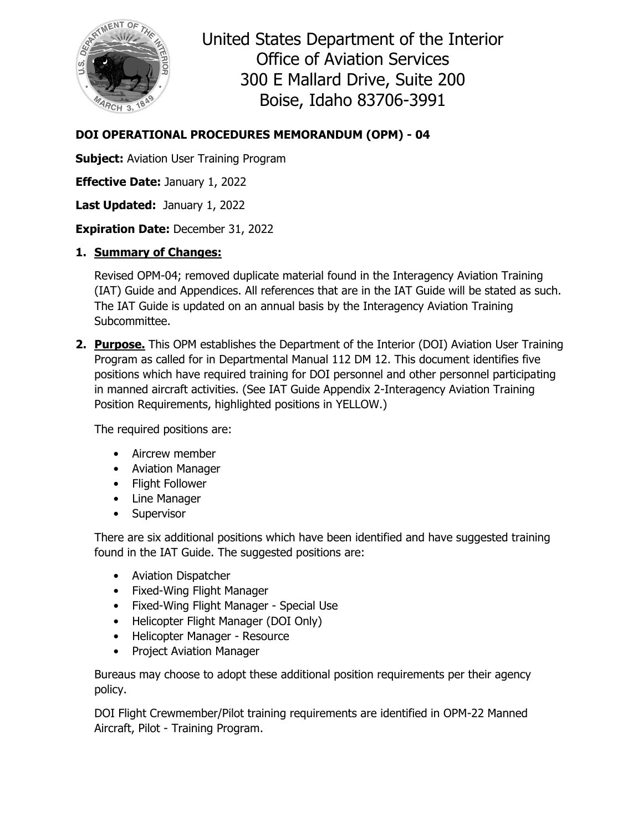

United States Department of the Interior Office of Aviation Services 300 E Mallard Drive, Suite 200 Boise, Idaho 83706-3991

## **DOI OPERATIONAL PROCEDURES MEMORANDUM (OPM) - 04**

**Subject:** Aviation User Training Program

**Effective Date:** January 1, 2022

Last Updated: January 1, 2022

**Expiration Date:** December 31, 2022

## **1. Summary of Changes:**

Revised OPM-04; removed duplicate material found in the Interagency Aviation Training (IAT) Guide and Appendices. All references that are in the IAT Guide will be stated as such. The IAT Guide is updated on an annual basis by the Interagency Aviation Training Subcommittee.

**2. Purpose.** This OPM establishes the Department of the Interior (DOI) Aviation User Training Program as called for in Departmental Manual 112 DM 12. This document identifies five positions which have required training for DOI personnel and other personnel participating in manned aircraft activities. (See IAT Guide Appendix 2-Interagency Aviation Training Position Requirements, highlighted positions in YELLOW.)

The required positions are:

- Aircrew member
- Aviation Manager
- Flight Follower
- Line Manager
- Supervisor

There are six additional positions which have been identified and have suggested training found in the IAT Guide. The suggested positions are:

- Aviation Dispatcher
- Fixed-Wing Flight Manager
- Fixed-Wing Flight Manager Special Use
- Helicopter Flight Manager (DOI Only)
- Helicopter Manager Resource
- Project Aviation Manager

Bureaus may choose to adopt these additional position requirements per their agency policy.

DOI Flight Crewmember/Pilot training requirements are identified in OPM-22 Manned Aircraft, Pilot - Training Program.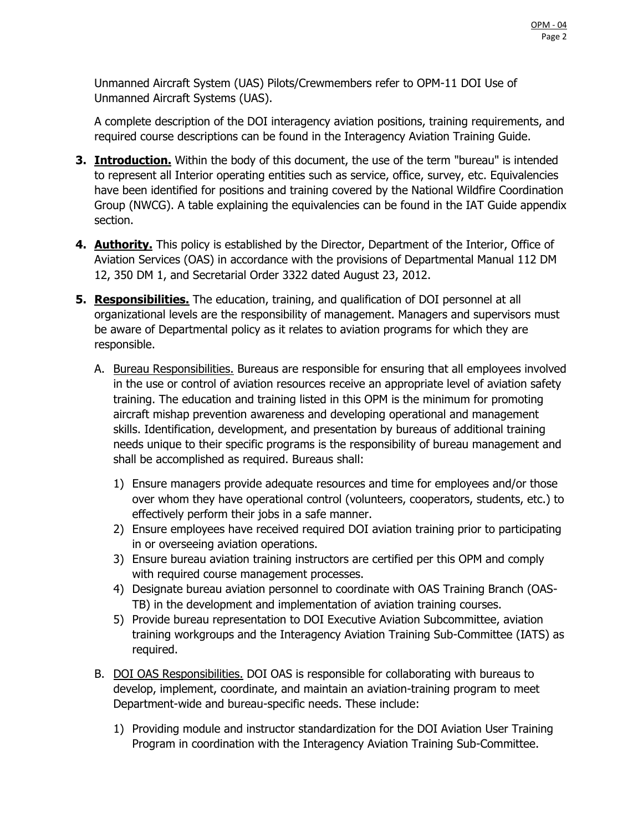Unmanned Aircraft System (UAS) Pilots/Crewmembers refer to OPM-11 DOI Use of Unmanned Aircraft Systems (UAS).

A complete description of the DOI interagency aviation positions, training requirements, and required course descriptions can be found in the Interagency Aviation Training Guide.

- **3. Introduction.** Within the body of this document, the use of the term "bureau" is intended to represent all Interior operating entities such as service, office, survey, etc. Equivalencies have been identified for positions and training covered by the National Wildfire Coordination Group (NWCG). A table explaining the equivalencies can be found in the IAT Guide appendix section.
- **4. Authority.** This policy is established by the Director, Department of the Interior, Office of Aviation Services (OAS) in accordance with the provisions of Departmental Manual 112 DM 12, 350 DM 1, and Secretarial Order 3322 dated August 23, 2012.
- **5. Responsibilities.** The education, training, and qualification of DOI personnel at all organizational levels are the responsibility of management. Managers and supervisors must be aware of Departmental policy as it relates to aviation programs for which they are responsible.
	- A. Bureau Responsibilities. Bureaus are responsible for ensuring that all employees involved in the use or control of aviation resources receive an appropriate level of aviation safety training. The education and training listed in this OPM is the minimum for promoting aircraft mishap prevention awareness and developing operational and management skills. Identification, development, and presentation by bureaus of additional training needs unique to their specific programs is the responsibility of bureau management and shall be accomplished as required. Bureaus shall:
		- 1) Ensure managers provide adequate resources and time for employees and/or those over whom they have operational control (volunteers, cooperators, students, etc.) to effectively perform their jobs in a safe manner.
		- 2) Ensure employees have received required DOI aviation training prior to participating in or overseeing aviation operations.
		- 3) Ensure bureau aviation training instructors are certified per this OPM and comply with required course management processes.
		- 4) Designate bureau aviation personnel to coordinate with OAS Training Branch (OAS-TB) in the development and implementation of aviation training courses.
		- 5) Provide bureau representation to DOI Executive Aviation Subcommittee, aviation training workgroups and the Interagency Aviation Training Sub-Committee (IATS) as required.
	- B. DOI OAS Responsibilities. DOI OAS is responsible for collaborating with bureaus to develop, implement, coordinate, and maintain an aviation-training program to meet Department-wide and bureau-specific needs. These include:
		- 1) Providing module and instructor standardization for the DOI Aviation User Training Program in coordination with the Interagency Aviation Training Sub-Committee.